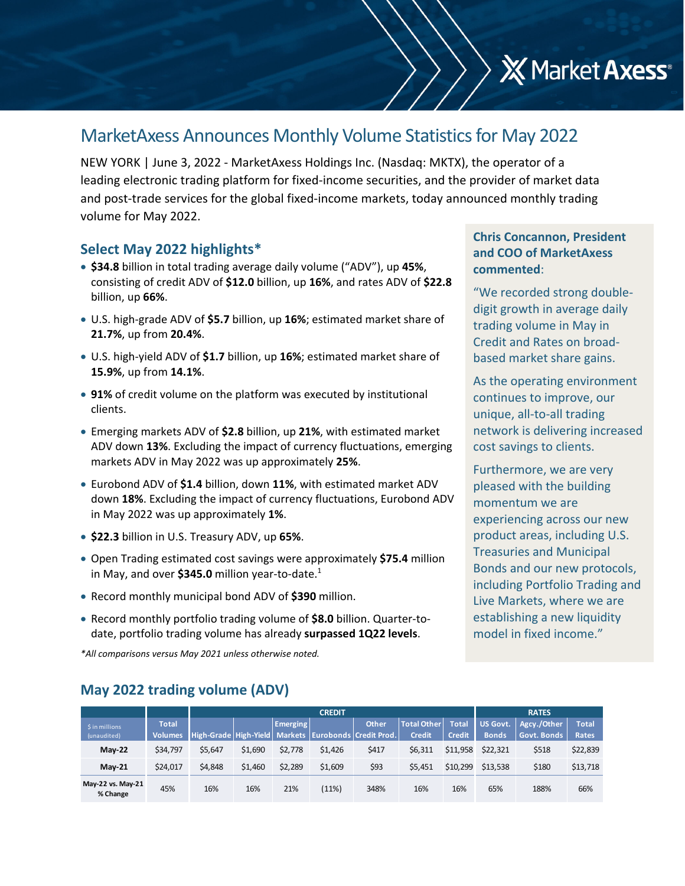# MarketAxess Announces Monthly Volume Statisticsfor May 2022

NEW YORK | June 3, 2022 ‐ MarketAxess Holdings Inc. (Nasdaq: MKTX), the operator of a leading electronic trading platform for fixed-income securities, and the provider of market data and post-trade services for the global fixed-income markets, today announced monthly trading volume for May 2022.

#### **Select May 2022 highlights\***

- **\$34.8** billion in total trading average daily volume ("ADV"), up **45%**, consisting of credit ADV of **\$12.0** billion, up **16%**, and rates ADV of **\$22.8** billion, up **66%**.
- U.S. high‐grade ADV of **\$5.7** billion, up **16%**; estimated market share of **21.7%**, up from **20.4%**.
- U.S. high‐yield ADV of **\$1.7** billion, up **16%**; estimated market share of **15.9%**, up from **14.1%**.
- **91%** of credit volume on the platform was executed by institutional clients.
- Emerging markets ADV of **\$2.8** billion, up **21%**, with estimated market ADV down **13%**. Excluding the impact of currency fluctuations, emerging markets ADV in May 2022 was up approximately **25%**.
- Eurobond ADV of **\$1.4** billion, down **11%**, with estimated market ADV down **18%**. Excluding the impact of currency fluctuations, Eurobond ADV in May 2022 was up approximately **1%**.
- **\$22.3** billion in U.S. Treasury ADV, up **65%**.
- Open Trading estimated cost savings were approximately **\$75.4** million in May, and over **\$345.0** million year-to-date.<sup>1</sup>
- Record monthly municipal bond ADV of **\$390** million.
- Record monthly portfolio trading volume of **\$8.0** billion. Quarter-todate, portfolio trading volume has already **surpassed 1Q22 levels**.

*\*All comparisons versus May 2021 unless otherwise noted.*

#### **May 2022 trading volume (ADV)**

|                               |                | <b>CREDIT</b> |         |                 |         |                                                      |                    |               |                 | <b>RATES</b> |              |  |  |
|-------------------------------|----------------|---------------|---------|-----------------|---------|------------------------------------------------------|--------------------|---------------|-----------------|--------------|--------------|--|--|
| \$ in millions                | Total          |               |         | <b>Emerging</b> |         | <b>Other</b>                                         | <b>Total Other</b> | Total         | <b>US Govt.</b> | Agcy./Other  | <b>Total</b> |  |  |
| (unaudited)                   | <b>Volumes</b> |               |         |                 |         | High-Grade High-Yield Markets Eurobonds Credit Prod. | <b>Credit</b>      | <b>Credit</b> | <b>Bonds</b>    | Govt. Bonds  | <b>Rates</b> |  |  |
| $M$ ay-22                     | \$34,797       | \$5.647       | \$1.690 | \$2.778         | \$1,426 | \$417                                                | \$6,311            | \$11,958      | \$22.321        | \$518        | \$22,839     |  |  |
| <b>May-21</b>                 | \$24,017       | \$4,848       | \$1,460 | \$2.289         | \$1,609 | \$93                                                 | \$5,451            | \$10,299      | \$13.538        | \$180        | \$13,718     |  |  |
| May-22 vs. May-21<br>% Change | 45%            | 16%           | 16%     | 21%             | (11%)   | 348%                                                 | 16%                | 16%           | 65%             | 188%         | 66%          |  |  |

#### **Chris Concannon, President and COO of MarketAxess commented**:

**X** Market Axess<sup>®</sup>

"We recorded strong double‐ digit growth in average daily trading volume in May in Credit and Rates on broad‐ based market share gains.

As the operating environment continues to improve, our unique, all‐to‐all trading network is delivering increased cost savings to clients.

Furthermore, we are very pleased with the building momentum we are experiencing across our new product areas, including U.S. Treasuries and Municipal Bonds and our new protocols, including Portfolio Trading and Live Markets, where we are establishing a new liquidity model in fixed income."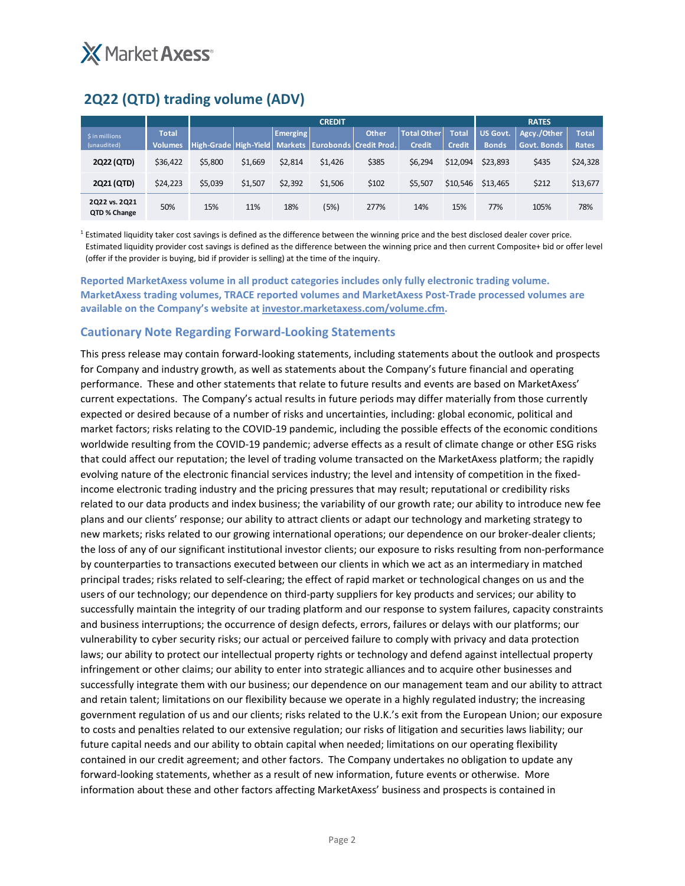

## **2Q22 (QTD) trading volume (ADV)**

|                               |                                | <b>CREDIT</b>         |         |                 |         |                                             |                                     |                               |                                 | <b>RATES</b>               |                       |  |
|-------------------------------|--------------------------------|-----------------------|---------|-----------------|---------|---------------------------------------------|-------------------------------------|-------------------------------|---------------------------------|----------------------------|-----------------------|--|
| \$ in millions<br>(unaudited) | <b>Total</b><br><b>Volumes</b> | High-Grade High-Yield |         | <b>Emerging</b> |         | Other<br>Markets   Eurobonds   Credit Prod. | <b>Total Other</b><br><b>Credit</b> | <b>Total</b><br><b>Credit</b> | <b>US Govt.</b><br><b>Bonds</b> | Agcy./Other<br>Govt. Bonds | <b>Total</b><br>Rates |  |
| 2Q22 (QTD)                    | \$36,422                       | \$5,800               | \$1,669 | \$2,814         | \$1,426 | \$385                                       | \$6,294                             | \$12,094                      | \$23,893                        | \$435                      | \$24,328              |  |
| 2Q21 (QTD)                    | \$24,223                       | \$5,039               | \$1,507 | \$2,392         | \$1,506 | \$102                                       | \$5,507                             | \$10.546                      | \$13,465                        | \$212                      | \$13,677              |  |
| 2Q22 vs. 2Q21<br>QTD % Change | 50%                            | 15%                   | 11%     | 18%             | (5%)    | 277%                                        | 14%                                 | 15%                           | 77%                             | 105%                       | 78%                   |  |

<sup>1</sup> Estimated liquidity taker cost savings is defined as the difference between the winning price and the best disclosed dealer cover price. Estimated liquidity provider cost savings is defined as the difference between the winning price and then current Composite+ bid or offer level (offer if the provider is buying, bid if provider is selling) at the time of the inquiry.

**Reported MarketAxess volume in all product categories includes only fully electronic trading volume. MarketAxess trading volumes, TRACE reported volumes and MarketAxess Post‐Trade processed volumes are available on the Company's website at investor.marketaxess.com/volume.cfm.** 

#### **Cautionary Note Regarding Forward‐Looking Statements**

This press release may contain forward‐looking statements, including statements about the outlook and prospects for Company and industry growth, as well as statements about the Company's future financial and operating performance. These and other statements that relate to future results and events are based on MarketAxess' current expectations. The Company's actual results in future periods may differ materially from those currently expected or desired because of a number of risks and uncertainties, including: global economic, political and market factors; risks relating to the COVID‐19 pandemic, including the possible effects of the economic conditions worldwide resulting from the COVID-19 pandemic; adverse effects as a result of climate change or other ESG risks that could affect our reputation; the level of trading volume transacted on the MarketAxess platform; the rapidly evolving nature of the electronic financial services industry; the level and intensity of competition in the fixed‐ income electronic trading industry and the pricing pressures that may result; reputational or credibility risks related to our data products and index business; the variability of our growth rate; our ability to introduce new fee plans and our clients' response; our ability to attract clients or adapt our technology and marketing strategy to new markets; risks related to our growing international operations; our dependence on our broker-dealer clients; the loss of any of our significant institutional investor clients; our exposure to risks resulting from non‐performance by counterparties to transactions executed between our clients in which we act as an intermediary in matched principal trades; risks related to self‐clearing; the effect of rapid market or technological changes on us and the users of our technology; our dependence on third‐party suppliers for key products and services; our ability to successfully maintain the integrity of our trading platform and our response to system failures, capacity constraints and business interruptions; the occurrence of design defects, errors, failures or delays with our platforms; our vulnerability to cyber security risks; our actual or perceived failure to comply with privacy and data protection laws; our ability to protect our intellectual property rights or technology and defend against intellectual property infringement or other claims; our ability to enter into strategic alliances and to acquire other businesses and successfully integrate them with our business; our dependence on our management team and our ability to attract and retain talent; limitations on our flexibility because we operate in a highly regulated industry; the increasing government regulation of us and our clients; risks related to the U.K.'s exit from the European Union; our exposure to costs and penalties related to our extensive regulation; our risks of litigation and securities laws liability; our future capital needs and our ability to obtain capital when needed; limitations on our operating flexibility contained in our credit agreement; and other factors. The Company undertakes no obligation to update any forward-looking statements, whether as a result of new information, future events or otherwise. More information about these and other factors affecting MarketAxess' business and prospects is contained in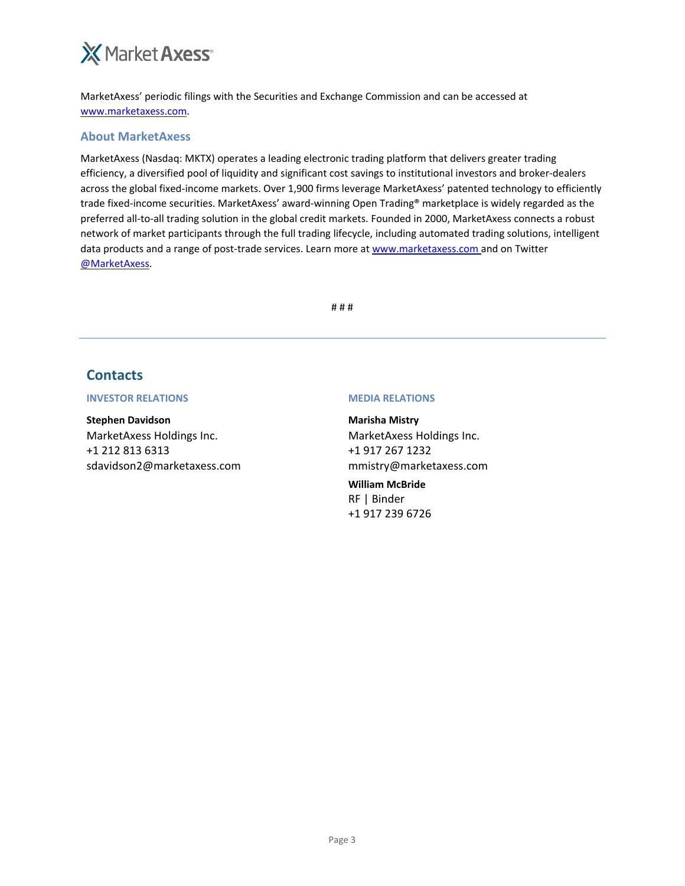# **X** Market Axess<sup>®</sup>

MarketAxess' periodic filings with the Securities and Exchange Commission and can be accessed at www.marketaxess.com.

#### **About MarketAxess**

MarketAxess (Nasdaq: MKTX) operates a leading electronic trading platform that delivers greater trading efficiency, a diversified pool of liquidity and significant cost savings to institutional investors and broker‐dealers across the global fixed-income markets. Over 1,900 firms leverage MarketAxess' patented technology to efficiently trade fixed‐income securities. MarketAxess' award‐winning Open Trading® marketplace is widely regarded as the preferred all-to-all trading solution in the global credit markets. Founded in 2000, MarketAxess connects a robust network of market participants through the full trading lifecycle, including automated trading solutions, intelligent data products and a range of post-trade services. Learn more at www.marketaxess.com and on Twitter @MarketAxess.

# # #

### **Contacts**

#### **INVESTOR RELATIONS MEDIA RELATIONS**

**Stephen Davidson** MarketAxess Holdings Inc. +1 212 813 6313 sdavidson2@marketaxess.com

**Marisha Mistry** MarketAxess Holdings Inc. +1 917 267 1232 mmistry@marketaxess.com

**William McBride** RF | Binder +1 917 239 6726